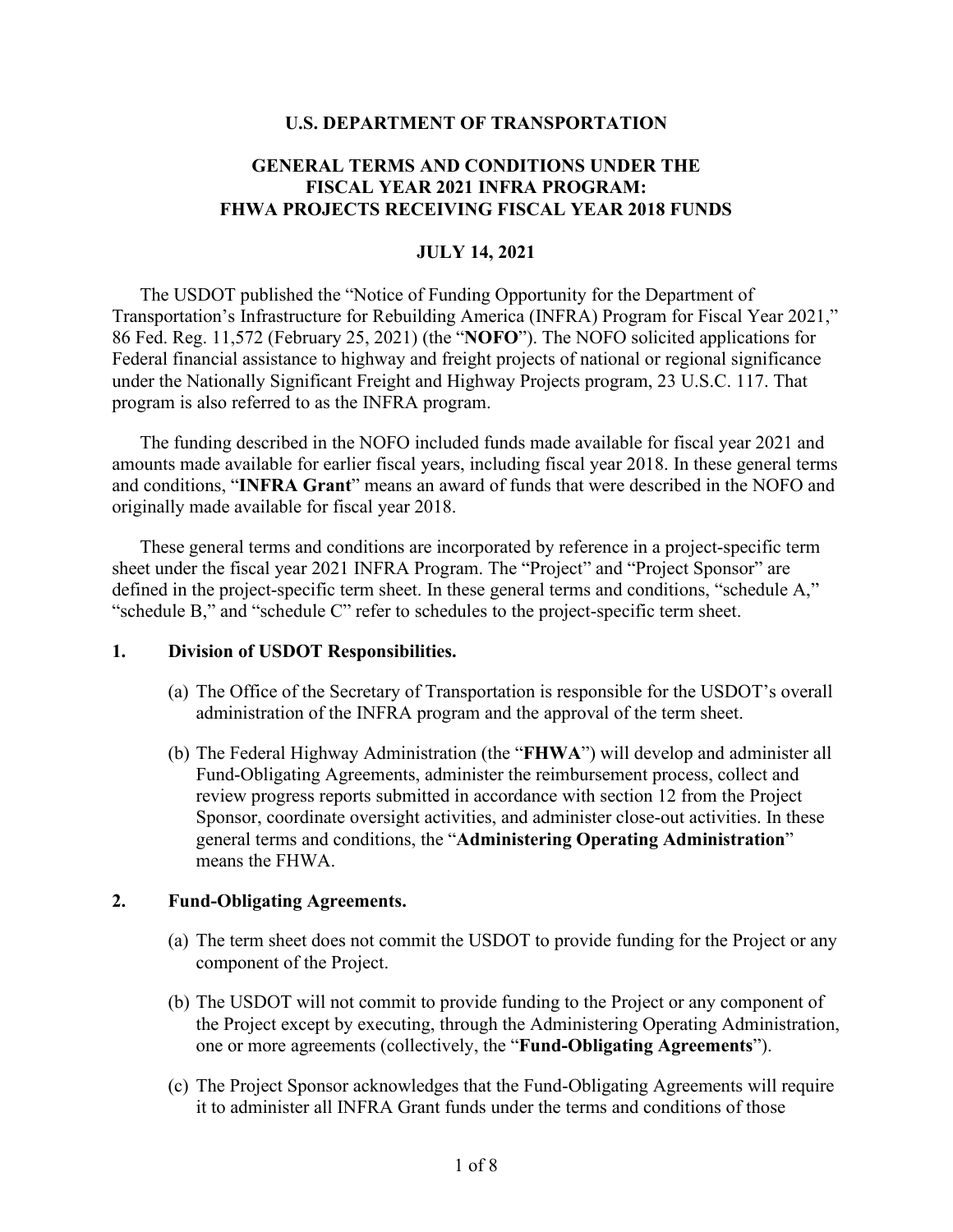#### **U.S. DEPARTMENT OF TRANSPORTATION**

### **GENERAL TERMS AND CONDITIONS UNDER THE FISCAL YEAR 2021 INFRA PROGRAM: FHWA PROJECTS RECEIVING FISCAL YEAR 2018 FUNDS**

#### **JULY 14, 2021**

The USDOT published the "Notice of Funding Opportunity for the Department of Transportation's Infrastructure for Rebuilding America (INFRA) Program for Fiscal Year 2021," 86 Fed. Reg. 11,572 (February 25, 2021) (the "**NOFO**"). The NOFO solicited applications for Federal financial assistance to highway and freight projects of national or regional significance under the Nationally Significant Freight and Highway Projects program, 23 U.S.C. 117. That program is also referred to as the INFRA program.

The funding described in the NOFO included funds made available for fiscal year 2021 and amounts made available for earlier fiscal years, including fiscal year 2018. In these general terms and conditions, "**INFRA Grant**" means an award of funds that were described in the NOFO and originally made available for fiscal year 2018.

These general terms and conditions are incorporated by reference in a project-specific term sheet under the fiscal year 2021 INFRA Program. The "Project" and "Project Sponsor" are defined in the project-specific term sheet. In these general terms and conditions, "schedule A," "schedule B," and "schedule C" refer to schedules to the project-specific term sheet.

#### **1. Division of USDOT Responsibilities.**

- (a) The Office of the Secretary of Transportation is responsible for the USDOT's overall administration of the INFRA program and the approval of the term sheet.
- (b) The Federal Highway Administration (the "**FHWA**") will develop and administer all Fund-Obligating Agreements, administer the reimbursement process, collect and review progress reports submitted in accordance with section 12 from the Project Sponsor, coordinate oversight activities, and administer close-out activities. In these general terms and conditions, the "**Administering Operating Administration**" means the FHWA.

### **2. Fund-Obligating Agreements.**

- (a) The term sheet does not commit the USDOT to provide funding for the Project or any component of the Project.
- (b) The USDOT will not commit to provide funding to the Project or any component of the Project except by executing, through the Administering Operating Administration, one or more agreements (collectively, the "**Fund-Obligating Agreements**").
- (c) The Project Sponsor acknowledges that the Fund-Obligating Agreements will require it to administer all INFRA Grant funds under the terms and conditions of those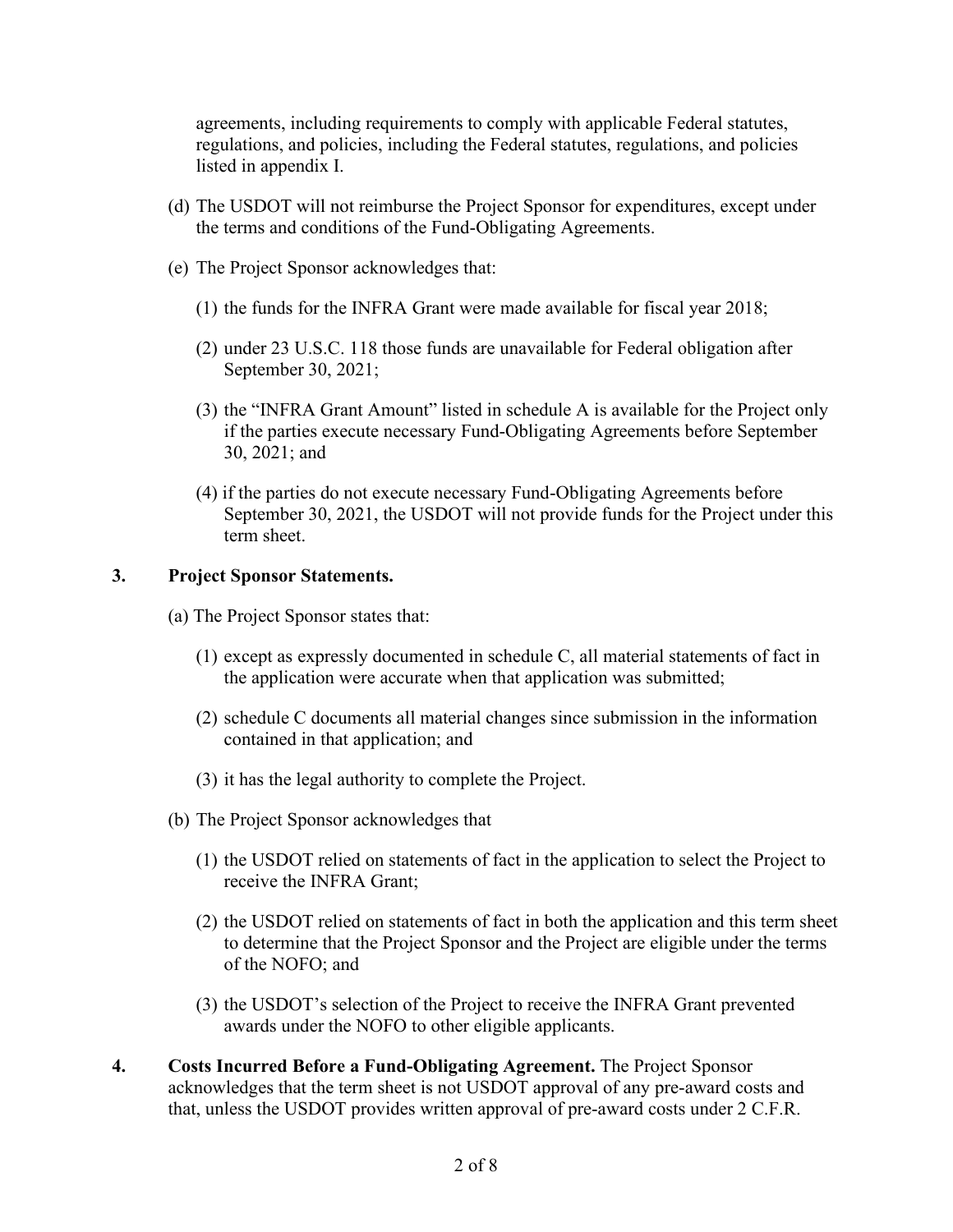agreements, including requirements to comply with applicable Federal statutes, regulations, and policies, including the Federal statutes, regulations, and policies listed in appendix I.

- (d) The USDOT will not reimburse the Project Sponsor for expenditures, except under the terms and conditions of the Fund-Obligating Agreements.
- (e) The Project Sponsor acknowledges that:
	- (1) the funds for the INFRA Grant were made available for fiscal year 2018;
	- (2) under 23 U.S.C. 118 those funds are unavailable for Federal obligation after September 30, 2021;
	- (3) the "INFRA Grant Amount" listed in schedule A is available for the Project only if the parties execute necessary Fund-Obligating Agreements before September 30, 2021; and
	- (4) if the parties do not execute necessary Fund-Obligating Agreements before September 30, 2021, the USDOT will not provide funds for the Project under this term sheet.

### **3. Project Sponsor Statements.**

- (a) The Project Sponsor states that:
	- (1) except as expressly documented in schedule C, all material statements of fact in the application were accurate when that application was submitted;
	- (2) schedule C documents all material changes since submission in the information contained in that application; and
	- (3) it has the legal authority to complete the Project.
- (b) The Project Sponsor acknowledges that
	- (1) the USDOT relied on statements of fact in the application to select the Project to receive the INFRA Grant;
	- (2) the USDOT relied on statements of fact in both the application and this term sheet to determine that the Project Sponsor and the Project are eligible under the terms of the NOFO; and
	- (3) the USDOT's selection of the Project to receive the INFRA Grant prevented awards under the NOFO to other eligible applicants.
- **4. Costs Incurred Before a Fund-Obligating Agreement.** The Project Sponsor acknowledges that the term sheet is not USDOT approval of any pre-award costs and that, unless the USDOT provides written approval of pre-award costs under 2 C.F.R.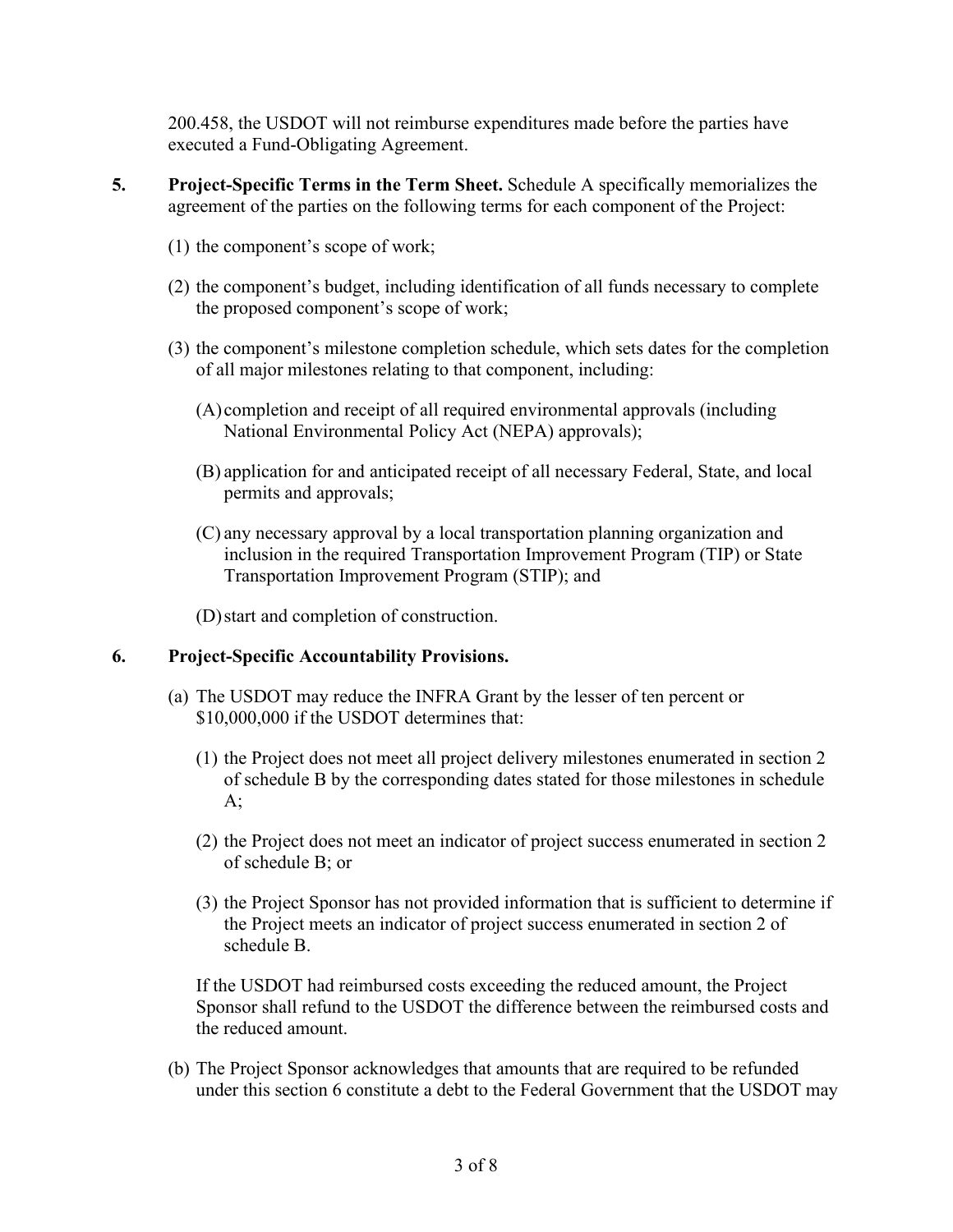200.458, the USDOT will not reimburse expenditures made before the parties have executed a Fund-Obligating Agreement.

- **5. Project-Specific Terms in the Term Sheet.** Schedule A specifically memorializes the agreement of the parties on the following terms for each component of the Project:
	- (1) the component's scope of work;
	- (2) the component's budget, including identification of all funds necessary to complete the proposed component's scope of work;
	- (3) the component's milestone completion schedule, which sets dates for the completion of all major milestones relating to that component, including:
		- (A) completion and receipt of all required environmental approvals (including National Environmental Policy Act (NEPA) approvals);
		- (B) application for and anticipated receipt of all necessary Federal, State, and local permits and approvals;
		- (C) any necessary approval by a local transportation planning organization and inclusion in the required Transportation Improvement Program (TIP) or State Transportation Improvement Program (STIP); and

(D)start and completion of construction.

### **6. Project-Specific Accountability Provisions.**

- (a) The USDOT may reduce the INFRA Grant by the lesser of ten percent or \$10,000,000 if the USDOT determines that:
	- (1) the Project does not meet all project delivery milestones enumerated in section 2 of schedule B by the corresponding dates stated for those milestones in schedule  $A$ ;
	- (2) the Project does not meet an indicator of project success enumerated in section 2 of schedule B; or
	- (3) the Project Sponsor has not provided information that is sufficient to determine if the Project meets an indicator of project success enumerated in section 2 of schedule B.

If the USDOT had reimbursed costs exceeding the reduced amount, the Project Sponsor shall refund to the USDOT the difference between the reimbursed costs and the reduced amount.

(b) The Project Sponsor acknowledges that amounts that are required to be refunded under this section 6 constitute a debt to the Federal Government that the USDOT may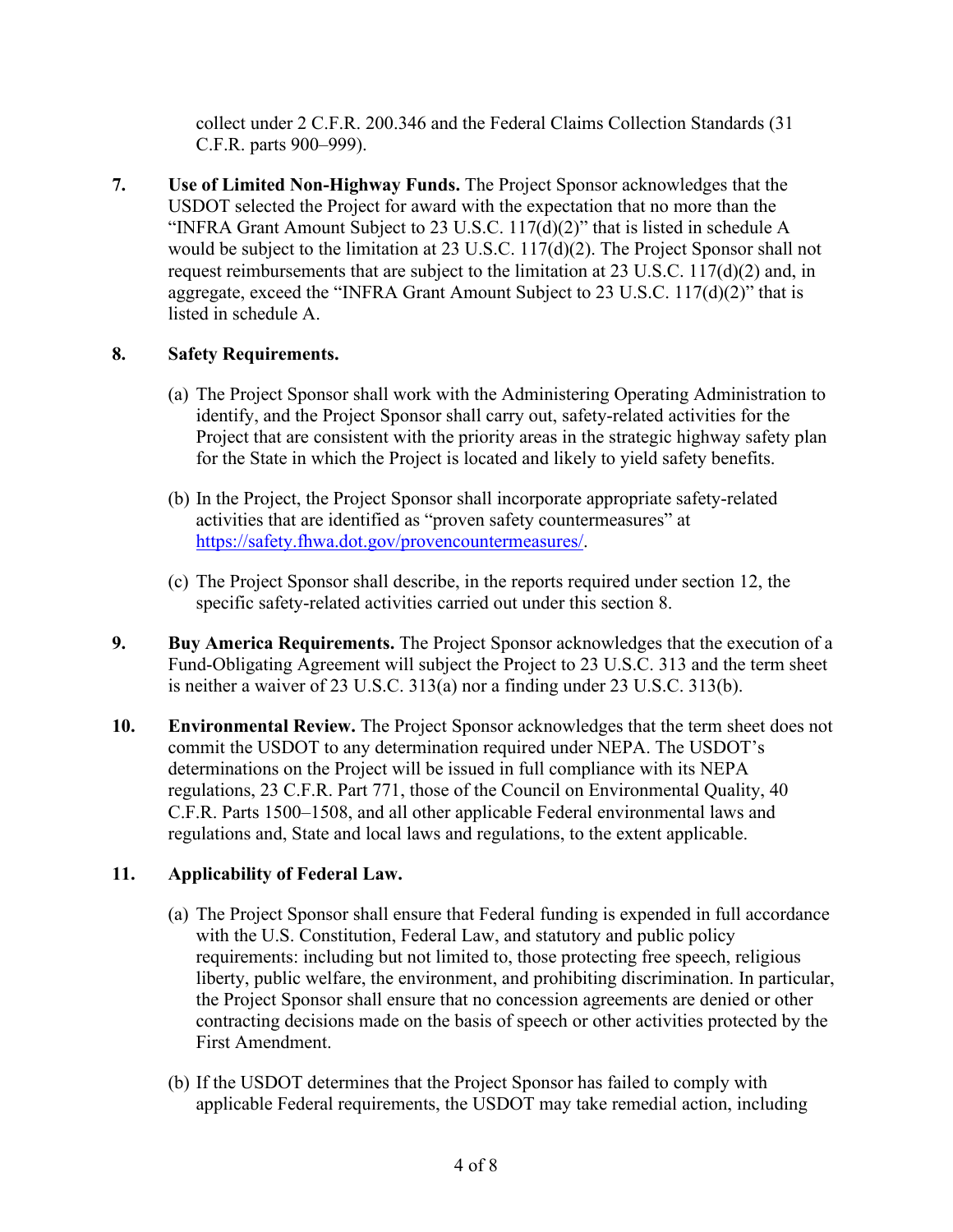collect under 2 C.F.R. 200.346 and the Federal Claims Collection Standards (31 C.F.R. parts 900–999).

**7. Use of Limited Non-Highway Funds.** The Project Sponsor acknowledges that the USDOT selected the Project for award with the expectation that no more than the "INFRA Grant Amount Subject to 23 U.S.C. 117(d)(2)" that is listed in schedule A would be subject to the limitation at 23 U.S.C. 117(d)(2). The Project Sponsor shall not request reimbursements that are subject to the limitation at 23 U.S.C. 117(d)(2) and, in aggregate, exceed the "INFRA Grant Amount Subject to 23 U.S.C. 117(d)(2)" that is listed in schedule A.

# **8. Safety Requirements.**

- (a) The Project Sponsor shall work with the Administering Operating Administration to identify, and the Project Sponsor shall carry out, safety-related activities for the Project that are consistent with the priority areas in the strategic highway safety plan for the State in which the Project is located and likely to yield safety benefits.
- (b) In the Project, the Project Sponsor shall incorporate appropriate safety-related activities that are identified as "proven safety countermeasures" at [https://safety.fhwa.dot.gov/provencountermeasures/.](https://safety.fhwa.dot.gov/provencountermeasures/)
- (c) The Project Sponsor shall describe, in the reports required under section 12, the specific safety-related activities carried out under this section 8.
- **9. Buy America Requirements.** The Project Sponsor acknowledges that the execution of a Fund-Obligating Agreement will subject the Project to 23 U.S.C. 313 and the term sheet is neither a waiver of 23 U.S.C. 313(a) nor a finding under 23 U.S.C. 313(b).
- **10. Environmental Review.** The Project Sponsor acknowledges that the term sheet does not commit the USDOT to any determination required under NEPA. The USDOT's determinations on the Project will be issued in full compliance with its NEPA regulations, 23 C.F.R. Part 771, those of the Council on Environmental Quality, 40 C.F.R. Parts 1500–1508, and all other applicable Federal environmental laws and regulations and, State and local laws and regulations, to the extent applicable.

# **11. Applicability of Federal Law.**

- (a) The Project Sponsor shall ensure that Federal funding is expended in full accordance with the U.S. Constitution, Federal Law, and statutory and public policy requirements: including but not limited to, those protecting free speech, religious liberty, public welfare, the environment, and prohibiting discrimination. In particular, the Project Sponsor shall ensure that no concession agreements are denied or other contracting decisions made on the basis of speech or other activities protected by the First Amendment.
- (b) If the USDOT determines that the Project Sponsor has failed to comply with applicable Federal requirements, the USDOT may take remedial action, including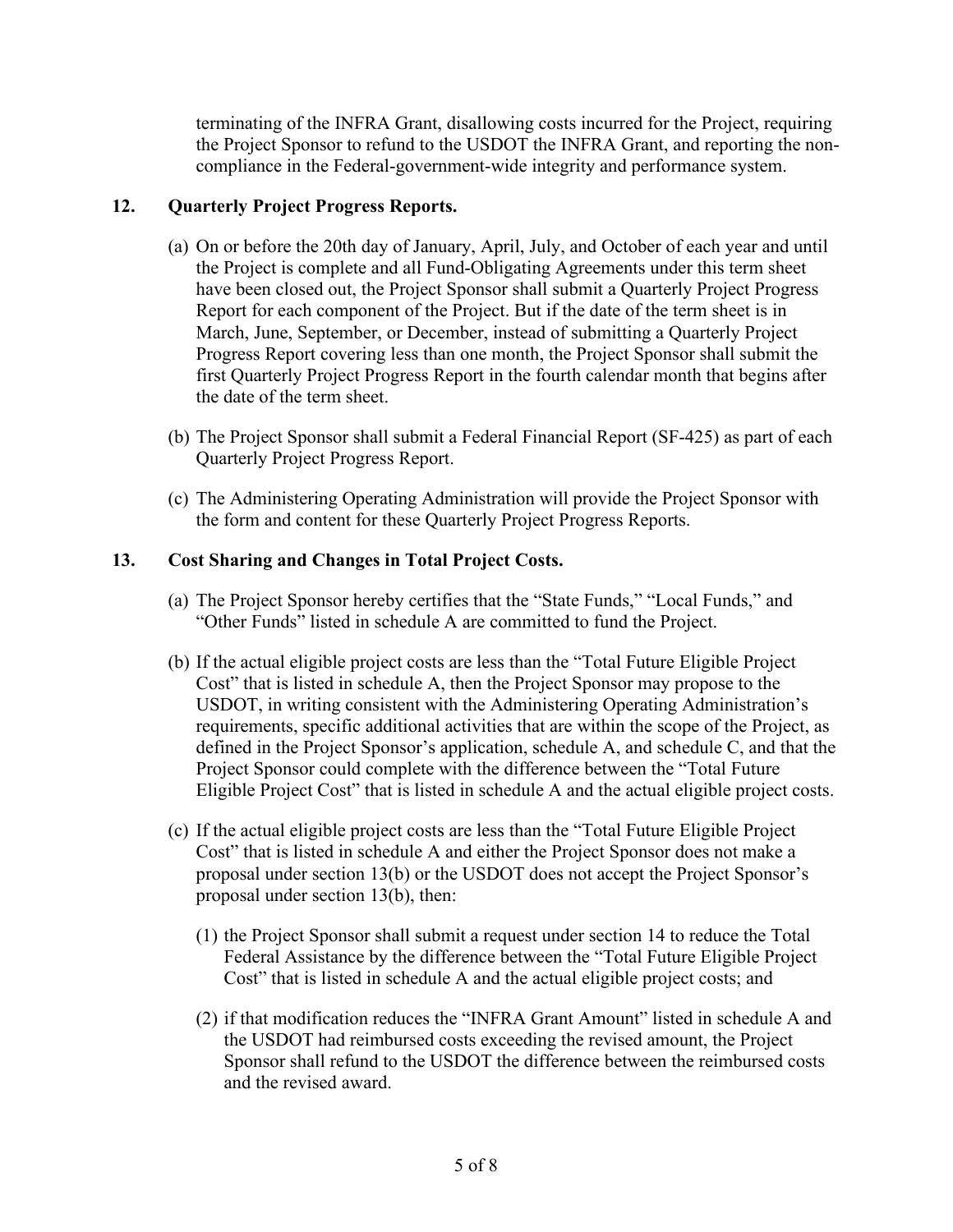terminating of the INFRA Grant, disallowing costs incurred for the Project, requiring the Project Sponsor to refund to the USDOT the INFRA Grant, and reporting the noncompliance in the Federal-government-wide integrity and performance system.

# **12. Quarterly Project Progress Reports.**

- (a) On or before the 20th day of January, April, July, and October of each year and until the Project is complete and all Fund-Obligating Agreements under this term sheet have been closed out, the Project Sponsor shall submit a Quarterly Project Progress Report for each component of the Project. But if the date of the term sheet is in March, June, September, or December, instead of submitting a Quarterly Project Progress Report covering less than one month, the Project Sponsor shall submit the first Quarterly Project Progress Report in the fourth calendar month that begins after the date of the term sheet.
- (b) The Project Sponsor shall submit a Federal Financial Report (SF-425) as part of each Quarterly Project Progress Report.
- (c) The Administering Operating Administration will provide the Project Sponsor with the form and content for these Quarterly Project Progress Reports.

# **13. Cost Sharing and Changes in Total Project Costs.**

- (a) The Project Sponsor hereby certifies that the "State Funds," "Local Funds," and "Other Funds" listed in schedule A are committed to fund the Project.
- (b) If the actual eligible project costs are less than the "Total Future Eligible Project Cost" that is listed in schedule A, then the Project Sponsor may propose to the USDOT, in writing consistent with the Administering Operating Administration's requirements, specific additional activities that are within the scope of the Project, as defined in the Project Sponsor's application, schedule A, and schedule C, and that the Project Sponsor could complete with the difference between the "Total Future Eligible Project Cost" that is listed in schedule A and the actual eligible project costs.
- (c) If the actual eligible project costs are less than the "Total Future Eligible Project Cost" that is listed in schedule A and either the Project Sponsor does not make a proposal under section 13(b) or the USDOT does not accept the Project Sponsor's proposal under section 13(b), then:
	- (1) the Project Sponsor shall submit a request under section 14 to reduce the Total Federal Assistance by the difference between the "Total Future Eligible Project Cost" that is listed in schedule A and the actual eligible project costs; and
	- (2) if that modification reduces the "INFRA Grant Amount" listed in schedule A and the USDOT had reimbursed costs exceeding the revised amount, the Project Sponsor shall refund to the USDOT the difference between the reimbursed costs and the revised award.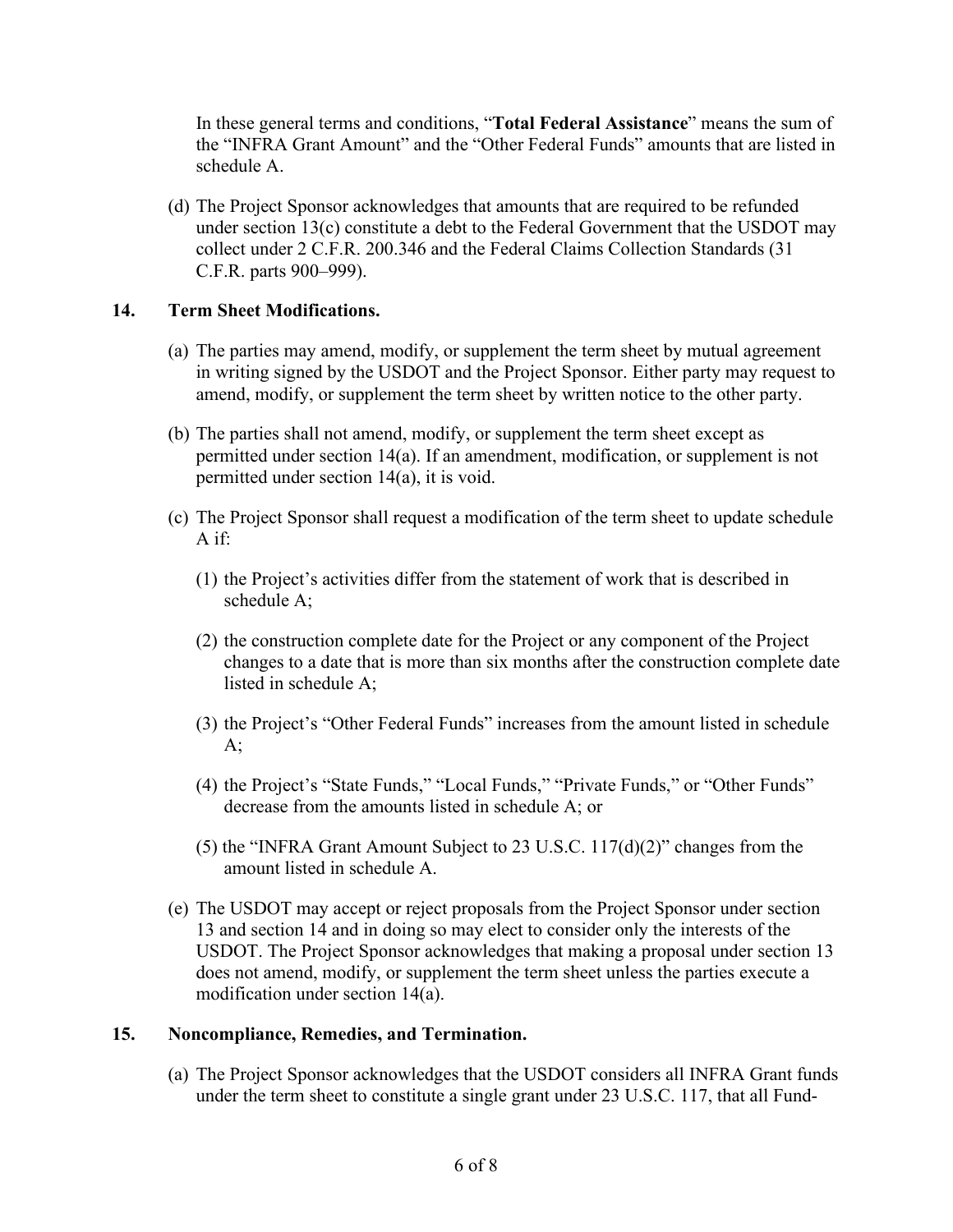In these general terms and conditions, "**Total Federal Assistance**" means the sum of the "INFRA Grant Amount" and the "Other Federal Funds" amounts that are listed in schedule A.

(d) The Project Sponsor acknowledges that amounts that are required to be refunded under section 13(c) constitute a debt to the Federal Government that the USDOT may collect under 2 C.F.R. 200.346 and the Federal Claims Collection Standards (31 C.F.R. parts 900–999).

### **14. Term Sheet Modifications.**

- (a) The parties may amend, modify, or supplement the term sheet by mutual agreement in writing signed by the USDOT and the Project Sponsor. Either party may request to amend, modify, or supplement the term sheet by written notice to the other party.
- (b) The parties shall not amend, modify, or supplement the term sheet except as permitted under section 14(a). If an amendment, modification, or supplement is not permitted under section 14(a), it is void.
- (c) The Project Sponsor shall request a modification of the term sheet to update schedule A if:
	- (1) the Project's activities differ from the statement of work that is described in schedule A;
	- (2) the construction complete date for the Project or any component of the Project changes to a date that is more than six months after the construction complete date listed in schedule A;
	- (3) the Project's "Other Federal Funds" increases from the amount listed in schedule  $A$ ;
	- (4) the Project's "State Funds," "Local Funds," "Private Funds," or "Other Funds" decrease from the amounts listed in schedule A; or
	- (5) the "INFRA Grant Amount Subject to 23 U.S.C. 117(d)(2)" changes from the amount listed in schedule A.
- (e) The USDOT may accept or reject proposals from the Project Sponsor under section 13 and section 14 and in doing so may elect to consider only the interests of the USDOT. The Project Sponsor acknowledges that making a proposal under section 13 does not amend, modify, or supplement the term sheet unless the parties execute a modification under section 14(a).

### **15. Noncompliance, Remedies, and Termination.**

(a) The Project Sponsor acknowledges that the USDOT considers all INFRA Grant funds under the term sheet to constitute a single grant under 23 U.S.C. 117, that all Fund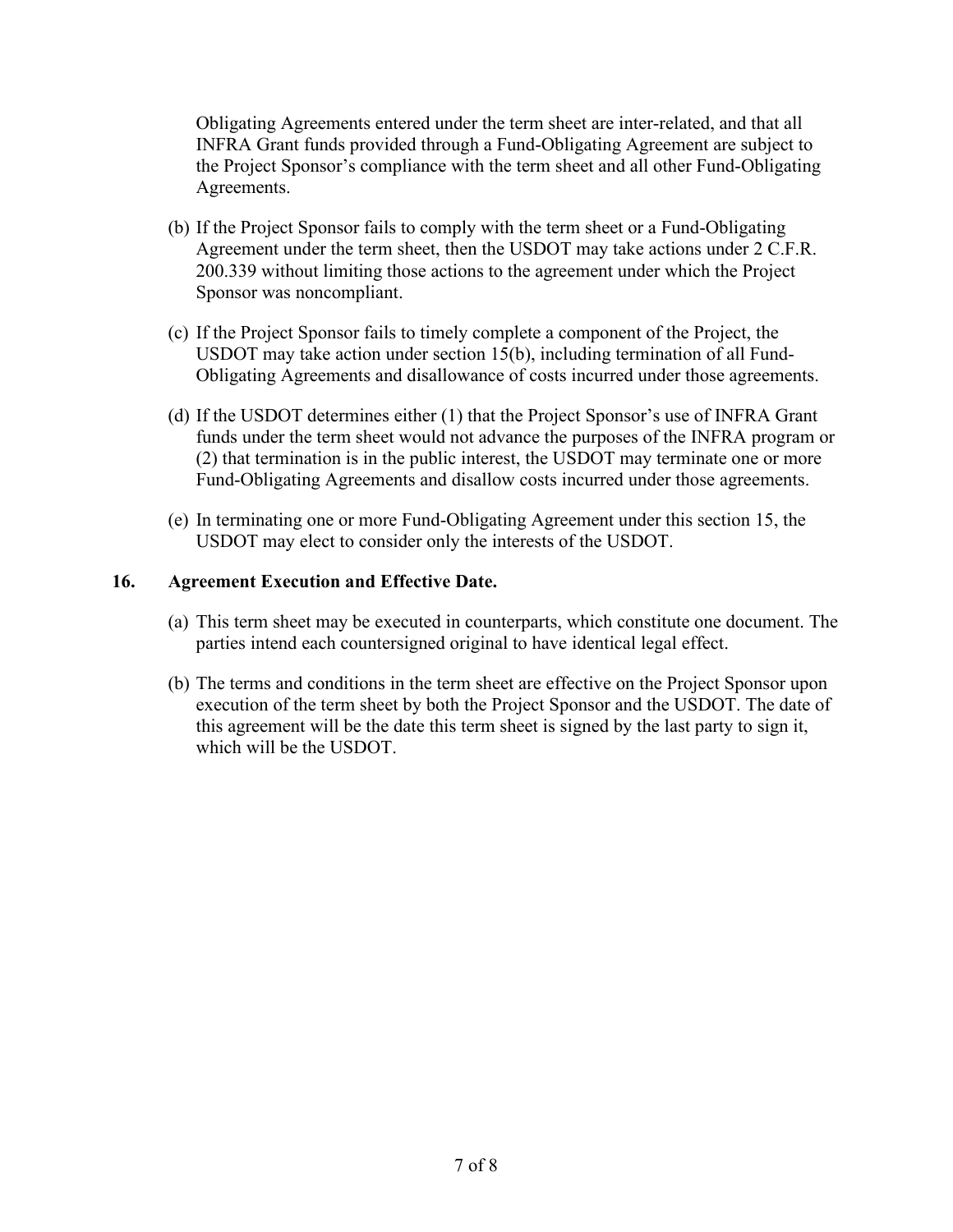Obligating Agreements entered under the term sheet are inter-related, and that all INFRA Grant funds provided through a Fund-Obligating Agreement are subject to the Project Sponsor's compliance with the term sheet and all other Fund-Obligating Agreements.

- (b) If the Project Sponsor fails to comply with the term sheet or a Fund-Obligating Agreement under the term sheet, then the USDOT may take actions under 2 C.F.R. 200.339 without limiting those actions to the agreement under which the Project Sponsor was noncompliant.
- (c) If the Project Sponsor fails to timely complete a component of the Project, the USDOT may take action under section 15(b), including termination of all Fund-Obligating Agreements and disallowance of costs incurred under those agreements.
- (d) If the USDOT determines either (1) that the Project Sponsor's use of INFRA Grant funds under the term sheet would not advance the purposes of the INFRA program or (2) that termination is in the public interest, the USDOT may terminate one or more Fund-Obligating Agreements and disallow costs incurred under those agreements.
- (e) In terminating one or more Fund-Obligating Agreement under this section 15, the USDOT may elect to consider only the interests of the USDOT.

# **16. Agreement Execution and Effective Date.**

- (a) This term sheet may be executed in counterparts, which constitute one document. The parties intend each countersigned original to have identical legal effect.
- (b) The terms and conditions in the term sheet are effective on the Project Sponsor upon execution of the term sheet by both the Project Sponsor and the USDOT. The date of this agreement will be the date this term sheet is signed by the last party to sign it, which will be the USDOT.